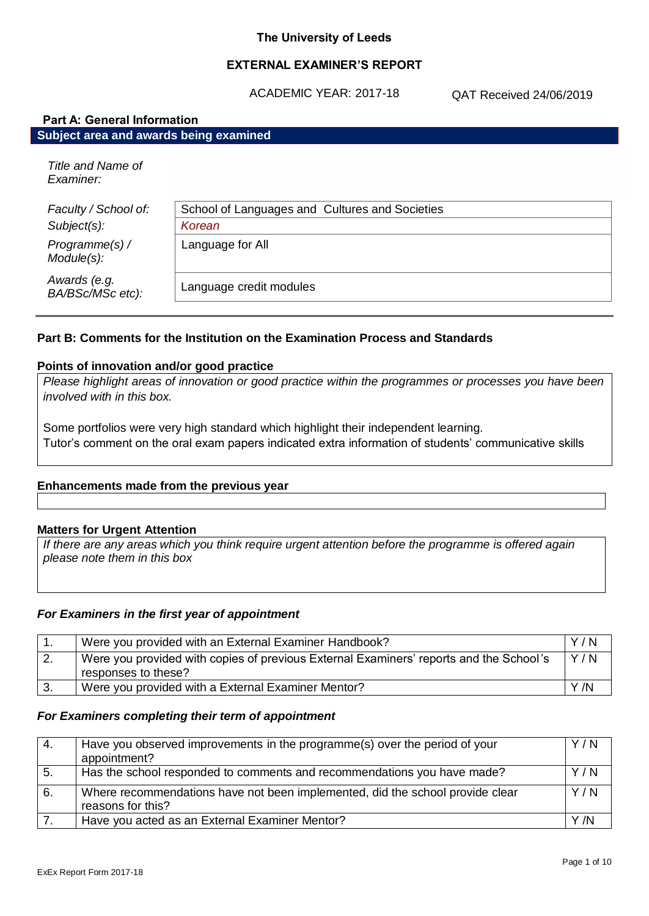## **EXTERNAL EXAMINER'S REPORT**

ACADEMIC YEAR: 2017-18

QAT Received 24/06/2019

| <b>Part A: General Information</b>     |                                                |  |
|----------------------------------------|------------------------------------------------|--|
| Subject area and awards being examined |                                                |  |
| Title and Name of<br>Examiner:         |                                                |  |
| Faculty / School of:                   | School of Languages and Cultures and Societies |  |
| Subject(s):                            | Korean                                         |  |
| Programme(s) /<br>Module(s):           | Language for All                               |  |
| Awards (e.g.<br>BA/BSc/MSc etc):       | Language credit modules                        |  |

## **Part B: Comments for the Institution on the Examination Process and Standards**

#### **Points of innovation and/or good practice**

*Please highlight areas of innovation or good practice within the programmes or processes you have been involved with in this box.*

Some portfolios were very high standard which highlight their independent learning. Tutor's comment on the oral exam papers indicated extra information of students' communicative skills

#### **Enhancements made from the previous year**

#### **Matters for Urgent Attention**

*If there are any areas which you think require urgent attention before the programme is offered again please note them in this box*

#### *For Examiners in the first year of appointment*

| Were you provided with an External Examiner Handbook?                                                         | Y/N |
|---------------------------------------------------------------------------------------------------------------|-----|
| Were you provided with copies of previous External Examiners' reports and the School's<br>responses to these? | Y/N |
| Were you provided with a External Examiner Mentor?                                                            | Y/N |

#### *For Examiners completing their term of appointment*

| 4. | Have you observed improvements in the programme(s) over the period of your<br>appointment?         | Y/N |
|----|----------------------------------------------------------------------------------------------------|-----|
| 5. | Has the school responded to comments and recommendations you have made?                            | Y/N |
| 6. | Where recommendations have not been implemented, did the school provide clear<br>reasons for this? | Y/N |
|    | Have you acted as an External Examiner Mentor?                                                     | Y/N |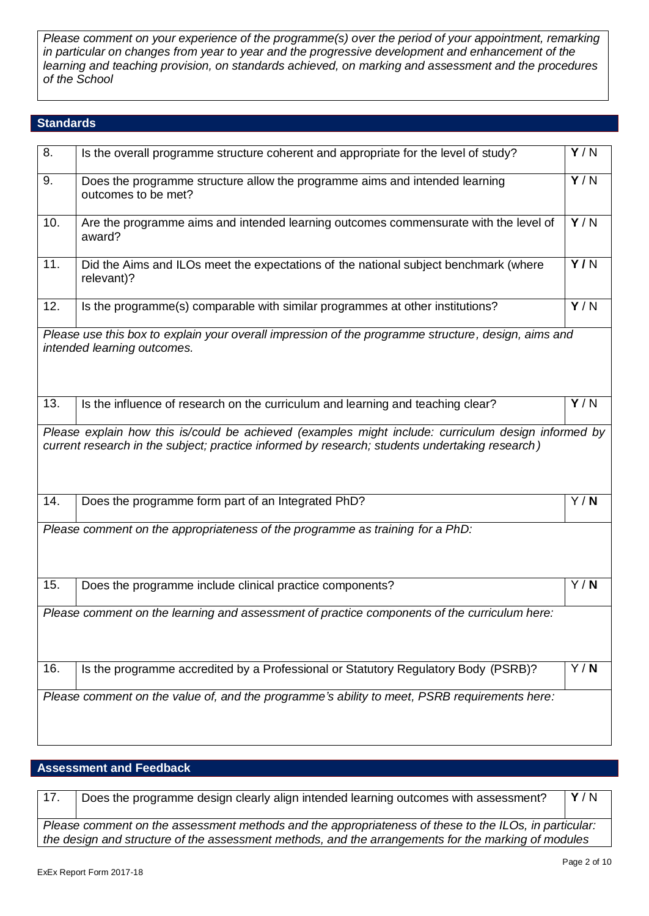*Please comment on your experience of the programme(s) over the period of your appointment, remarking in particular on changes from year to year and the progressive development and enhancement of the learning and teaching provision, on standards achieved, on marking and assessment and the procedures of the School*

### **Standards**

| 8.  | Is the overall programme structure coherent and appropriate for the level of study?                                                                                                                   | $\overline{Y/N}$ |
|-----|-------------------------------------------------------------------------------------------------------------------------------------------------------------------------------------------------------|------------------|
| 9.  | Does the programme structure allow the programme aims and intended learning<br>outcomes to be met?                                                                                                    | Y/N              |
| 10. | Are the programme aims and intended learning outcomes commensurate with the level of<br>award?                                                                                                        | Y/N              |
| 11. | Did the Aims and ILOs meet the expectations of the national subject benchmark (where<br>relevant)?                                                                                                    | Y/N              |
| 12. | Is the programme(s) comparable with similar programmes at other institutions?                                                                                                                         | Y/N              |
|     | Please use this box to explain your overall impression of the programme structure, design, aims and<br>intended learning outcomes.                                                                    |                  |
| 13. | Is the influence of research on the curriculum and learning and teaching clear?                                                                                                                       | $\overline{Y/N}$ |
|     | Please explain how this is/could be achieved (examples might include: curriculum design informed by<br>current research in the subject; practice informed by research; students undertaking research) |                  |
| 14. | Does the programme form part of an Integrated PhD?                                                                                                                                                    | Y/N              |
|     | Please comment on the appropriateness of the programme as training for a PhD:                                                                                                                         |                  |
| 15. | Does the programme include clinical practice components?                                                                                                                                              | Y/N              |
|     | Please comment on the learning and assessment of practice components of the curriculum here:                                                                                                          |                  |
| 16. | Is the programme accredited by a Professional or Statutory Regulatory Body (PSRB)?                                                                                                                    | Y/N              |
|     | Please comment on the value of, and the programme's ability to meet, PSRB requirements here:                                                                                                          |                  |

# **Assessment and Feedback**

| 17.                                                                                                                                                                                                          | Does the programme design clearly align intended learning outcomes with assessment? | Y/N |
|--------------------------------------------------------------------------------------------------------------------------------------------------------------------------------------------------------------|-------------------------------------------------------------------------------------|-----|
| Please comment on the assessment methods and the appropriateness of these to the ILOs, in particular:<br>the design and structure of the assessment methods, and the arrangements for the marking of modules |                                                                                     |     |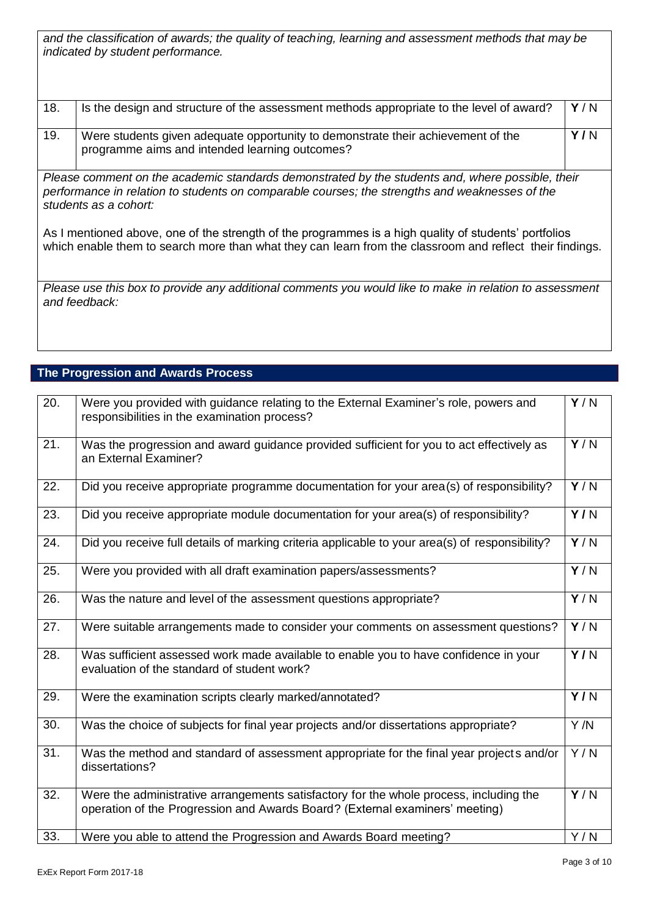*and the classification of awards; the quality of teaching, learning and assessment methods that may be indicated by student performance.*

| 18. | Is the design and structure of the assessment methods appropriate to the level of award? | Y/N |
|-----|------------------------------------------------------------------------------------------|-----|
| 19. | Were students given adequate opportunity to demonstrate their achievement of the         | Y/N |
|     | programme aims and intended learning outcomes?                                           |     |

*Please comment on the academic standards demonstrated by the students and, where possible, their performance in relation to students on comparable courses; the strengths and weaknesses of the students as a cohort:*

As I mentioned above, one of the strength of the programmes is a high quality of students' portfolios which enable them to search more than what they can learn from the classroom and reflect their findings.

*Please use this box to provide any additional comments you would like to make in relation to assessment and feedback:*

# **The Progression and Awards Process**

| 20.               | Were you provided with guidance relating to the External Examiner's role, powers and<br>responsibilities in the examination process?                                   | Y/N              |
|-------------------|------------------------------------------------------------------------------------------------------------------------------------------------------------------------|------------------|
| $\overline{21}$ . | Was the progression and award guidance provided sufficient for you to act effectively as<br>an External Examiner?                                                      | Y/N              |
| 22.               | Did you receive appropriate programme documentation for your area(s) of responsibility?                                                                                | Y/N              |
| 23.               | Did you receive appropriate module documentation for your area(s) of responsibility?                                                                                   | $\overline{Y/N}$ |
| 24.               | Did you receive full details of marking criteria applicable to your area(s) of responsibility?                                                                         | $\overline{Y/N}$ |
| 25.               | Were you provided with all draft examination papers/assessments?                                                                                                       | Y/N              |
| 26.               | Was the nature and level of the assessment questions appropriate?                                                                                                      | Y/N              |
| 27.               | Were suitable arrangements made to consider your comments on assessment questions?                                                                                     | $\overline{Y/N}$ |
| 28.               | Was sufficient assessed work made available to enable you to have confidence in your<br>evaluation of the standard of student work?                                    | Y/N              |
| 29.               | Were the examination scripts clearly marked/annotated?                                                                                                                 | Y/N              |
| 30.               | Was the choice of subjects for final year projects and/or dissertations appropriate?                                                                                   | $\overline{Y/N}$ |
| 31.               | Was the method and standard of assessment appropriate for the final year projects and/or<br>dissertations?                                                             | Y/N              |
| 32.               | Were the administrative arrangements satisfactory for the whole process, including the<br>operation of the Progression and Awards Board? (External examiners' meeting) | $\overline{Y/N}$ |
| 33.               | Were you able to attend the Progression and Awards Board meeting?                                                                                                      | Y/N              |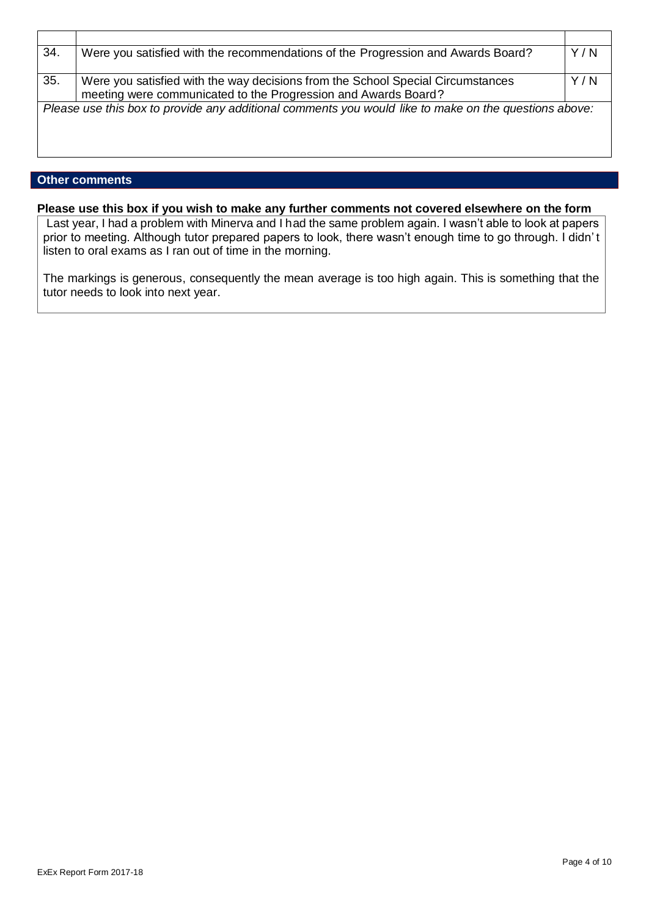| 34. | Were you satisfied with the recommendations of the Progression and Awards Board?                                                                  | Y/N |
|-----|---------------------------------------------------------------------------------------------------------------------------------------------------|-----|
| 35. | Were you satisfied with the way decisions from the School Special Circumstances<br>meeting were communicated to the Progression and Awards Board? | Y/N |
|     | Please use this box to provide any additional comments you would like to make on the questions above:                                             |     |

### **Other comments**

### **Please use this box if you wish to make any further comments not covered elsewhere on the form**

Last year, I had a problem with Minerva and I had the same problem again. I wasn't able to look at papers prior to meeting. Although tutor prepared papers to look, there wasn't enough time to go through. I didn' t listen to oral exams as I ran out of time in the morning.

The markings is generous, consequently the mean average is too high again. This is something that the tutor needs to look into next year.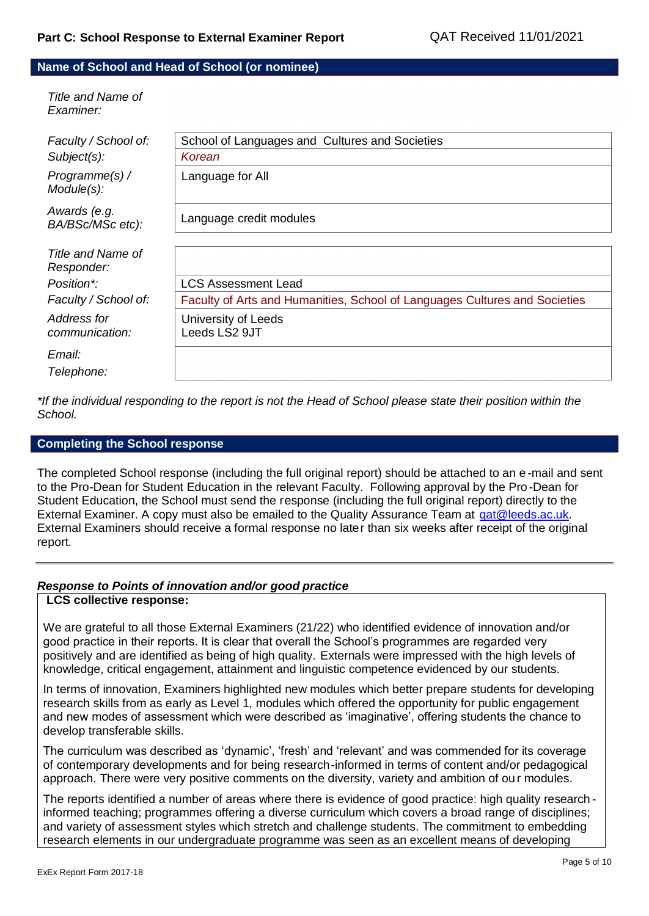#### **Name of School and Head of School (or nominee)**

| Title and Name of<br>Examiner:   |                                                                            |
|----------------------------------|----------------------------------------------------------------------------|
| Faculty / School of:             | School of Languages and Cultures and Societies                             |
| Subject(s):                      | Korean                                                                     |
| Programme(s) /<br>Module(s):     | Language for All                                                           |
| Awards (e.g.<br>BA/BSc/MSc etc): | Language credit modules                                                    |
| Title and Name of                |                                                                            |
| Responder:                       |                                                                            |
| Position*:                       | <b>LCS Assessment Lead</b>                                                 |
| Faculty / School of:             | Faculty of Arts and Humanities, School of Languages Cultures and Societies |
| Address for                      | University of Leeds                                                        |
| communication:                   | Leeds LS2 9JT                                                              |
| Email:                           |                                                                            |
| Telephone:                       |                                                                            |
|                                  |                                                                            |

*\*If the individual responding to the report is not the Head of School please state their position within the School.*

#### **Completing the School response**

The completed School response (including the full original report) should be attached to an e -mail and sent to the Pro-Dean for Student Education in the relevant Faculty. Following approval by the Pro -Dean for Student Education, the School must send the response (including the full original report) directly to the External Examiner. A copy must also be emailed to the Quality Assurance Team at [qat@leeds.ac.uk.](mailto:qat@leeds.ac.uk) External Examiners should receive a formal response no later than six weeks after receipt of the original report.

## *Response to Points of innovation and/or good practice*

### **LCS collective response:**

We are grateful to all those External Examiners (21/22) who identified evidence of innovation and/or good practice in their reports. It is clear that overall the School's programmes are regarded very positively and are identified as being of high quality. Externals were impressed with the high levels of knowledge, critical engagement, attainment and linguistic competence evidenced by our students.

In terms of innovation, Examiners highlighted new modules which better prepare students for developing research skills from as early as Level 1, modules which offered the opportunity for public engagement and new modes of assessment which were described as 'imaginative', offering students the chance to develop transferable skills.

The curriculum was described as 'dynamic', 'fresh' and 'relevant' and was commended for its coverage of contemporary developments and for being research-informed in terms of content and/or pedagogical approach. There were very positive comments on the diversity, variety and ambition of ou r modules.

The reports identified a number of areas where there is evidence of good practice: high quality research informed teaching; programmes offering a diverse curriculum which covers a broad range of disciplines; and variety of assessment styles which stretch and challenge students. The commitment to embedding research elements in our undergraduate programme was seen as an excellent means of developing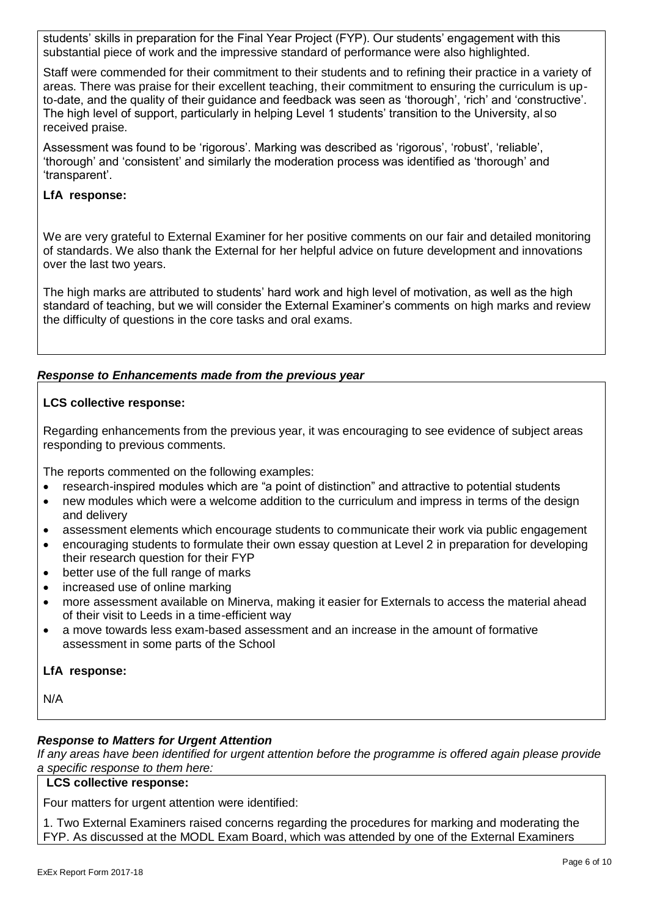students' skills in preparation for the Final Year Project (FYP). Our students' engagement with this substantial piece of work and the impressive standard of performance were also highlighted.

Staff were commended for their commitment to their students and to refining their practice in a variety of areas. There was praise for their excellent teaching, their commitment to ensuring the curriculum is upto-date, and the quality of their guidance and feedback was seen as 'thorough', 'rich' and 'constructive'. The high level of support, particularly in helping Level 1 students' transition to the University, al so received praise.

Assessment was found to be 'rigorous'. Marking was described as 'rigorous', 'robust', 'reliable', 'thorough' and 'consistent' and similarly the moderation process was identified as 'thorough' and 'transparent'.

# **LfA response:**

We are very grateful to External Examiner for her positive comments on our fair and detailed monitoring of standards. We also thank the External for her helpful advice on future development and innovations over the last two years.

The high marks are attributed to students' hard work and high level of motivation, as well as the high standard of teaching, but we will consider the External Examiner's comments on high marks and review the difficulty of questions in the core tasks and oral exams.

# *Response to Enhancements made from the previous year*

## **LCS collective response:**

Regarding enhancements from the previous year, it was encouraging to see evidence of subject areas responding to previous comments.

The reports commented on the following examples:

- research-inspired modules which are "a point of distinction" and attractive to potential students
- new modules which were a welcome addition to the curriculum and impress in terms of the design and delivery
- assessment elements which encourage students to communicate their work via public engagement
- encouraging students to formulate their own essay question at Level 2 in preparation for developing their research question for their FYP
- better use of the full range of marks
- increased use of online marking
- more assessment available on Minerva, making it easier for Externals to access the material ahead of their visit to Leeds in a time-efficient way
- a move towards less exam-based assessment and an increase in the amount of formative assessment in some parts of the School

## **LfA response:**

N/A

## *Response to Matters for Urgent Attention*

*If any areas have been identified for urgent attention before the programme is offered again please provide a specific response to them here:*

#### **LCS collective response:**

Four matters for urgent attention were identified:

1. Two External Examiners raised concerns regarding the procedures for marking and moderating the FYP. As discussed at the MODL Exam Board, which was attended by one of the External Examiners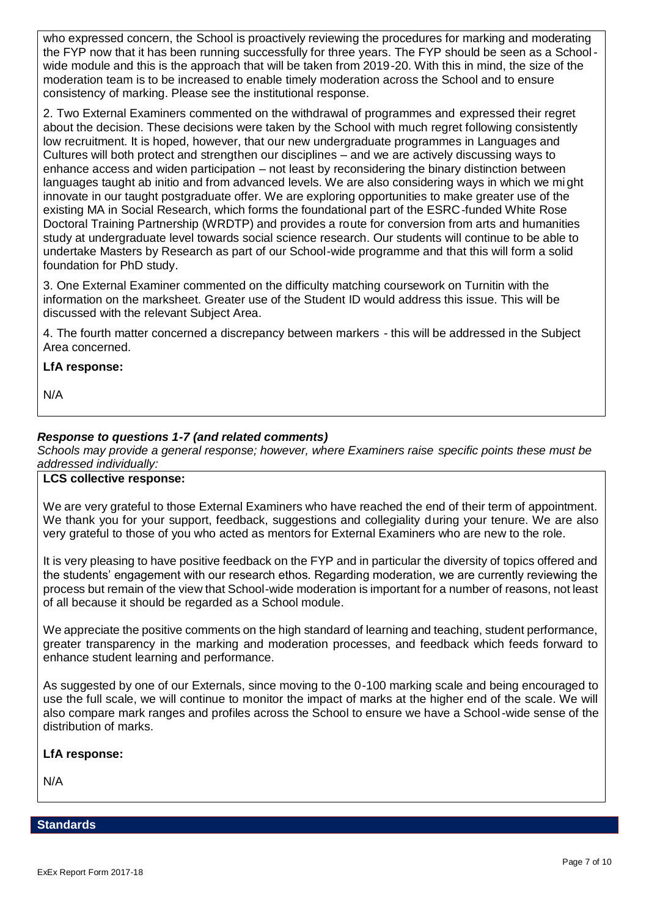who expressed concern, the School is proactively reviewing the procedures for marking and moderating the FYP now that it has been running successfully for three years. The FYP should be seen as a Schoolwide module and this is the approach that will be taken from 2019-20. With this in mind, the size of the moderation team is to be increased to enable timely moderation across the School and to ensure consistency of marking. Please see the institutional response.

2. Two External Examiners commented on the withdrawal of programmes and expressed their regret about the decision. These decisions were taken by the School with much regret following consistently low recruitment. It is hoped, however, that our new undergraduate programmes in Languages and Cultures will both protect and strengthen our disciplines – and we are actively discussing ways to enhance access and widen participation – not least by reconsidering the binary distinction between languages taught ab initio and from advanced levels. We are also considering ways in which we might innovate in our taught postgraduate offer. We are exploring opportunities to make greater use of the existing MA in Social Research, which forms the foundational part of the ESRC-funded White Rose Doctoral Training Partnership (WRDTP) and provides a route for conversion from arts and humanities study at undergraduate level towards social science research. Our students will continue to be able to undertake Masters by Research as part of our School-wide programme and that this will form a solid foundation for PhD study.

3. One External Examiner commented on the difficulty matching coursework on Turnitin with the information on the marksheet. Greater use of the Student ID would address this issue. This will be discussed with the relevant Subject Area.

4. The fourth matter concerned a discrepancy between markers - this will be addressed in the Subject Area concerned.

## **LfA response:**

N/A

# *Response to questions 1-7 (and related comments)*

*Schools may provide a general response; however, where Examiners raise specific points these must be addressed individually:*

## **LCS collective response:**

We are very grateful to those External Examiners who have reached the end of their term of appointment. We thank you for your support, feedback, suggestions and collegiality during your tenure. We are also very grateful to those of you who acted as mentors for External Examiners who are new to the role.

It is very pleasing to have positive feedback on the FYP and in particular the diversity of topics offered and the students' engagement with our research ethos. Regarding moderation, we are currently reviewing the process but remain of the view that School-wide moderation is important for a number of reasons, not least of all because it should be regarded as a School module.

We appreciate the positive comments on the high standard of learning and teaching, student performance, greater transparency in the marking and moderation processes, and feedback which feeds forward to enhance student learning and performance.

As suggested by one of our Externals, since moving to the 0-100 marking scale and being encouraged to use the full scale, we will continue to monitor the impact of marks at the higher end of the scale. We will also compare mark ranges and profiles across the School to ensure we have a School-wide sense of the distribution of marks.

#### **LfA response:**

N/A

#### **Standards**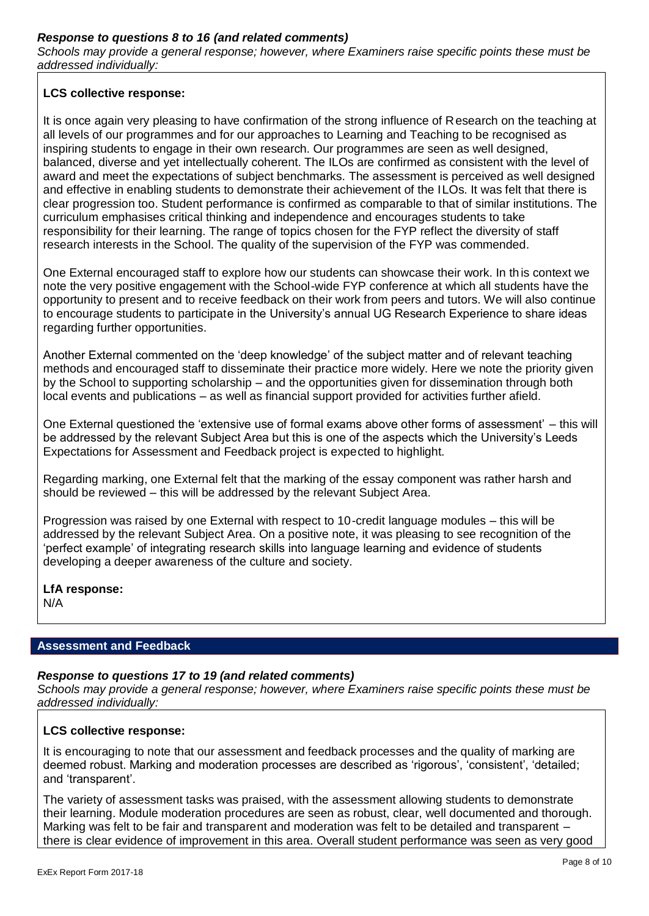## *Response to questions 8 to 16 (and related comments)*

*Schools may provide a general response; however, where Examiners raise specific points these must be addressed individually:*

## **LCS collective response:**

It is once again very pleasing to have confirmation of the strong influence of Research on the teaching at all levels of our programmes and for our approaches to Learning and Teaching to be recognised as inspiring students to engage in their own research. Our programmes are seen as well designed, balanced, diverse and yet intellectually coherent. The ILOs are confirmed as consistent with the level of award and meet the expectations of subject benchmarks. The assessment is perceived as well designed and effective in enabling students to demonstrate their achievement of the ILOs. It was felt that there is clear progression too. Student performance is confirmed as comparable to that of similar institutions. The curriculum emphasises critical thinking and independence and encourages students to take responsibility for their learning. The range of topics chosen for the FYP reflect the diversity of staff research interests in the School. The quality of the supervision of the FYP was commended.

One External encouraged staff to explore how our students can showcase their work. In th is context we note the very positive engagement with the School-wide FYP conference at which all students have the opportunity to present and to receive feedback on their work from peers and tutors. We will also continue to encourage students to participate in the University's annual UG Research Experience to share ideas regarding further opportunities.

Another External commented on the 'deep knowledge' of the subject matter and of relevant teaching methods and encouraged staff to disseminate their practice more widely. Here we note the priority given by the School to supporting scholarship – and the opportunities given for dissemination through both local events and publications – as well as financial support provided for activities further afield.

One External questioned the 'extensive use of formal exams above other forms of assessment' – this will be addressed by the relevant Subject Area but this is one of the aspects which the University's Leeds Expectations for Assessment and Feedback project is expected to highlight.

Regarding marking, one External felt that the marking of the essay component was rather harsh and should be reviewed – this will be addressed by the relevant Subject Area.

Progression was raised by one External with respect to 10-credit language modules – this will be addressed by the relevant Subject Area. On a positive note, it was pleasing to see recognition of the 'perfect example' of integrating research skills into language learning and evidence of students developing a deeper awareness of the culture and society.

**LfA response:**

N/A

## **Assessment and Feedback**

## *Response to questions 17 to 19 (and related comments)*

*Schools may provide a general response; however, where Examiners raise specific points these must be addressed individually:*

## **LCS collective response:**

It is encouraging to note that our assessment and feedback processes and the quality of marking are deemed robust. Marking and moderation processes are described as 'rigorous', 'consistent', 'detailed; and 'transparent'.

The variety of assessment tasks was praised, with the assessment allowing students to demonstrate their learning. Module moderation procedures are seen as robust, clear, well documented and thorough. Marking was felt to be fair and transparent and moderation was felt to be detailed and transparent – there is clear evidence of improvement in this area. Overall student performance was seen as very good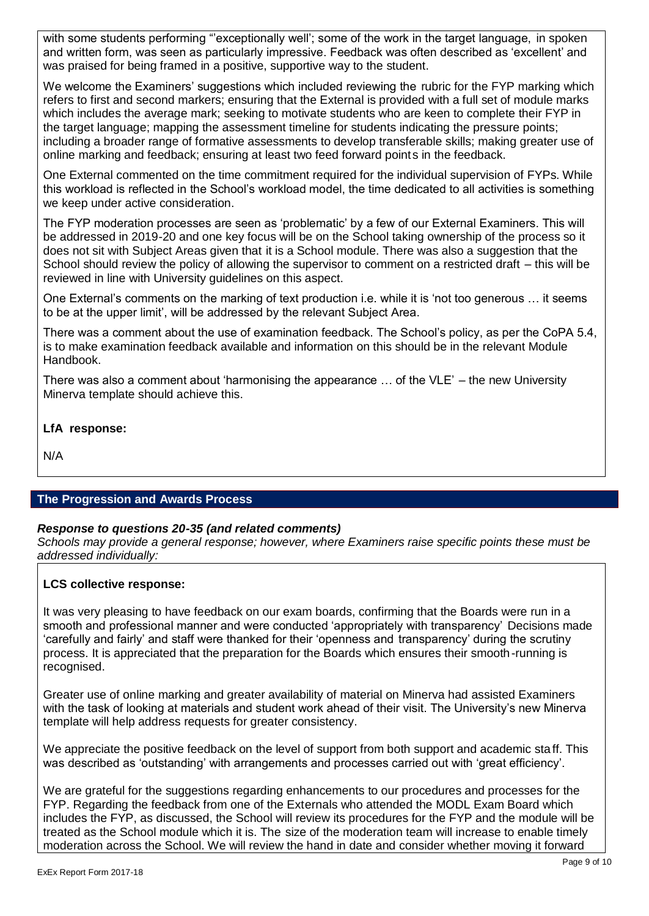with some students performing "'exceptionally well'; some of the work in the target language, in spoken and written form, was seen as particularly impressive. Feedback was often described as 'excellent' and was praised for being framed in a positive, supportive way to the student.

We welcome the Examiners' suggestions which included reviewing the rubric for the FYP marking which refers to first and second markers; ensuring that the External is provided with a full set of module marks which includes the average mark; seeking to motivate students who are keen to complete their FYP in the target language; mapping the assessment timeline for students indicating the pressure points; including a broader range of formative assessments to develop transferable skills; making greater use of online marking and feedback; ensuring at least two feed forward points in the feedback.

One External commented on the time commitment required for the individual supervision of FYPs. While this workload is reflected in the School's workload model, the time dedicated to all activities is something we keep under active consideration.

The FYP moderation processes are seen as 'problematic' by a few of our External Examiners. This will be addressed in 2019-20 and one key focus will be on the School taking ownership of the process so it does not sit with Subject Areas given that it is a School module. There was also a suggestion that the School should review the policy of allowing the supervisor to comment on a restricted draft – this will be reviewed in line with University guidelines on this aspect.

One External's comments on the marking of text production i.e. while it is 'not too generous … it seems to be at the upper limit', will be addressed by the relevant Subject Area.

There was a comment about the use of examination feedback. The School's policy, as per the CoPA 5.4, is to make examination feedback available and information on this should be in the relevant Module Handbook.

There was also a comment about 'harmonising the appearance … of the VLE' – the new University Minerva template should achieve this.

**LfA response:**

N/A

# **The Progression and Awards Process**

## *Response to questions 20-35 (and related comments)*

*Schools may provide a general response; however, where Examiners raise specific points these must be addressed individually:*

## **LCS collective response:**

It was very pleasing to have feedback on our exam boards, confirming that the Boards were run in a smooth and professional manner and were conducted 'appropriately with transparency' Decisions made 'carefully and fairly' and staff were thanked for their 'openness and transparency' during the scrutiny process. It is appreciated that the preparation for the Boards which ensures their smooth-running is recognised.

Greater use of online marking and greater availability of material on Minerva had assisted Examiners with the task of looking at materials and student work ahead of their visit. The University's new Minerva template will help address requests for greater consistency.

We appreciate the positive feedback on the level of support from both support and academic staff. This was described as 'outstanding' with arrangements and processes carried out with 'great efficiency'.

We are grateful for the suggestions regarding enhancements to our procedures and processes for the FYP. Regarding the feedback from one of the Externals who attended the MODL Exam Board which includes the FYP, as discussed, the School will review its procedures for the FYP and the module will be treated as the School module which it is. The size of the moderation team will increase to enable timely moderation across the School. We will review the hand in date and consider whether moving it forward